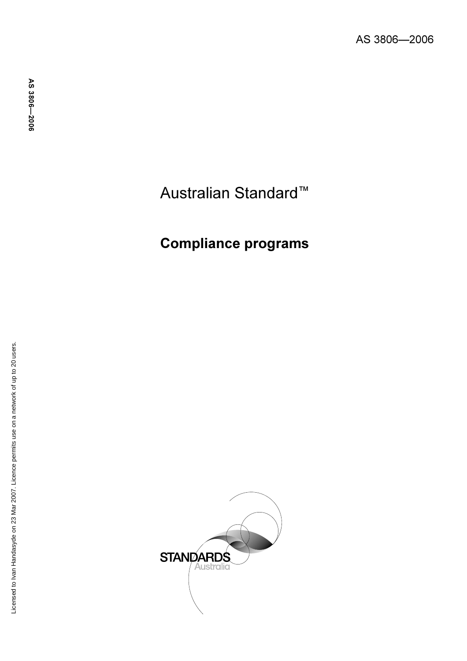# Australian Standard ™

# Compliance programs

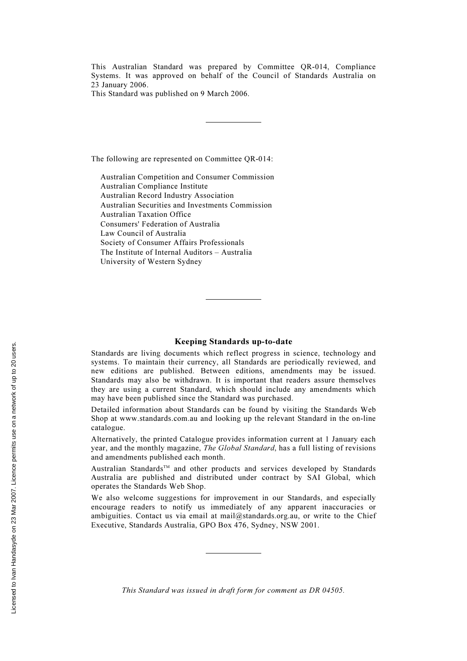This Australian Standard was prepared by Committee QR-014, Compliance Systems. It was approved on behalf of the Council of Standards Australia on 23 January 2006.

This Standard was published on 9 March 2006.

The following are represented on Committee QR-014:

Australian Competition and Consumer Commission Australian Compliance Institute Australian Record Industry Association Australian Securities and Investments Commission Australian Taxation Office Consumers' Federation of Australia Law Council of Australia Society of Consumer Affairs Professionals The Institute of Internal Auditors – Australia University of Western Sydney

#### Keeping Standards up-to-date

Standards are living documents which reflect progress in science, technology and systems. To maintain their currency, all Standards are periodically reviewed, and new editions are published. Between editions, amendments may be issued. Standards may also be withdrawn. It is important that readers assure themselves they are using a current Standard, which should include any amendments which may have been published since the Standard was purchased.

Detailed information about Standards can be found by visiting the Standards Web Shop at www.standards.com.au and looking up the relevant Standard in the on-line catalogue.

Alternatively, the printed Catalogue provides information current at 1 January each year, and the monthly magazine, The Global Standard, has a full listing of revisions and amendments published each month.

Australian Standards™ and other products and services developed by Standards Australia are published and distributed under contract by SAI Global, which operates the Standards Web Shop.

We also welcome suggestions for improvement in our Standards, and especially encourage readers to notify us immediately of any apparent inaccuracies or ambiguities. Contact us via email at mail@standards.org.au, or write to the Chief Executive, Standards Australia, GPO Box 476, Sydney, NSW 2001.

This Standard was issued in draft form for comment as DR 04505.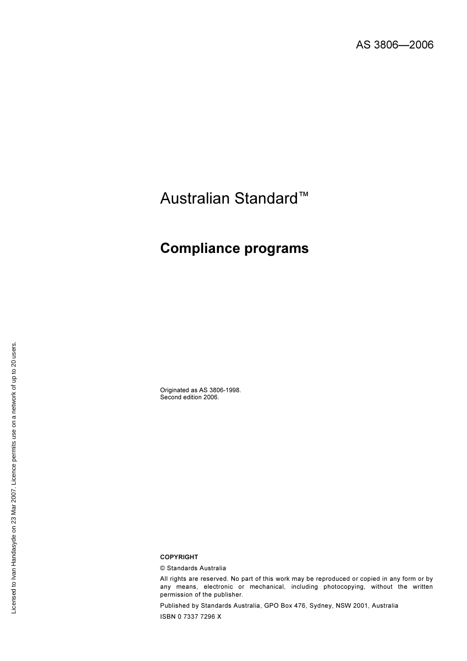# Australian Standard™

## Compliance programs

Originated as AS 3806-1998. Second edition 2006.

#### COPYRIGHT

© Standards Australia

All rights are reserved. No part of this work may be reproduced or copied in any form or by any means, electronic or mechanical, including photocopying, without the written permission of the publisher.

Published by Standards Australia, GPO Box 476, Sydney, NSW 2001, Australia ISBN 0 7337 7296 X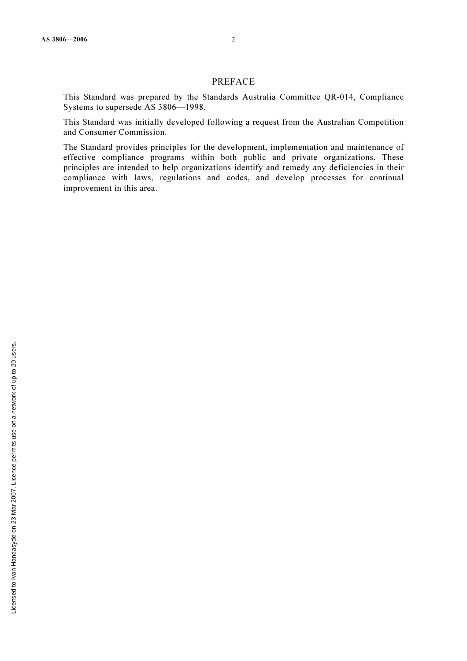This Standard was prepared by the Standards Australia Committee QR-014, Compliance Systems to supersede AS 3806—1998.

This Standard was initially developed following a request from the Australian Competition and Consumer Commission.

The Standard provides principles for the development, implementation and maintenance of effective compliance programs within both public and private organizations. These principles are intended to help organizations identify and remedy any deficiencies in their compliance with laws, regulations and codes, and develop processes for continual improvement in this area.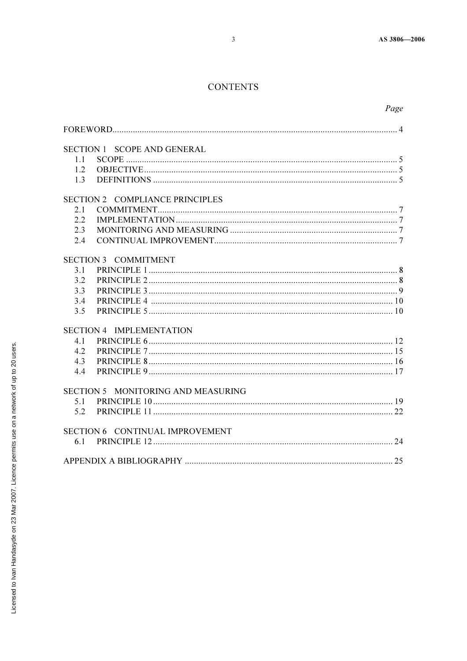## **CONTENTS**

|                                 | Page                                   |  |
|---------------------------------|----------------------------------------|--|
|                                 |                                        |  |
|                                 | <b>SECTION 1 SCOPE AND GENERAL</b>     |  |
| 1.1                             |                                        |  |
| 1.2                             |                                        |  |
| 1.3                             |                                        |  |
|                                 | <b>SECTION 2 COMPLIANCE PRINCIPLES</b> |  |
| 2.1                             |                                        |  |
| 2.2                             |                                        |  |
| 2.3                             |                                        |  |
| 2.4                             |                                        |  |
|                                 | <b>SECTION 3 COMMITMENT</b>            |  |
| 3.1                             |                                        |  |
| 3.2                             |                                        |  |
| 3.3                             |                                        |  |
| 3.4                             |                                        |  |
| 3.5                             |                                        |  |
| <b>SECTION 4 IMPLEMENTATION</b> |                                        |  |
| 4.1                             |                                        |  |
| 4.2                             |                                        |  |
| 4.3                             |                                        |  |
| 4.4                             |                                        |  |
|                                 | SECTION 5 MONITORING AND MEASURING     |  |
| 5.1                             |                                        |  |
| 5.2                             |                                        |  |
|                                 | SECTION 6 CONTINUAL IMPROVEMENT        |  |
| 6.1                             |                                        |  |
|                                 |                                        |  |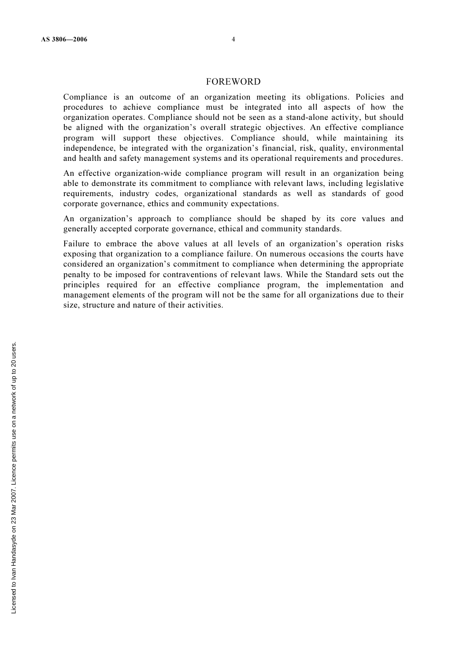#### FOREWORD

Compliance is an outcome of an organization meeting its obligations. Policies and procedures to achieve compliance must be integrated into all aspects of how the organization operates. Compliance should not be seen as a stand-alone activity, but should be aligned with the organization's overall strategic objectives. An effective compliance program will support these objectives. Compliance should, while maintaining its independence, be integrated with the organization's financial, risk, quality, environmental and health and safety management systems and its operational requirements and procedures.

An effective organization-wide compliance program will result in an organization being able to demonstrate its commitment to compliance with relevant laws, including legislative requirements, industry codes, organizational standards as well as standards of good corporate governance, ethics and community expectations.

An organization's approach to compliance should be shaped by its core values and generally accepted corporate governance, ethical and community standards.

Failure to embrace the above values at all levels of an organization's operation risks exposing that organization to a compliance failure. On numerous occasions the courts have considered an organization's commitment to compliance when determining the appropriate penalty to be imposed for contraventions of relevant laws. While the Standard sets out the principles required for an effective compliance program, the implementation and management elements of the program will not be the same for all organizations due to their size, structure and nature of their activities.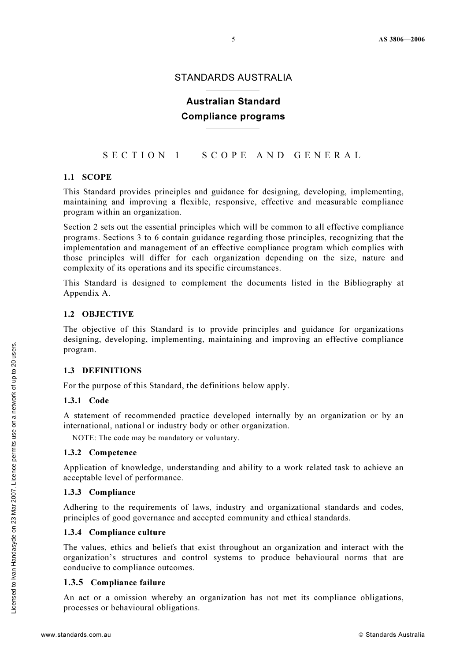## STANDARDS AUSTRALIA

## Australian Standard Compliance programs

## SECTION 1 SCOPE AND GENERAL

#### 1.1 SCOPE

This Standard provides principles and guidance for designing, developing, implementing, maintaining and improving a flexible, responsive, effective and measurable compliance program within an organization.

Section 2 sets out the essential principles which will be common to all effective compliance programs. Sections 3 to 6 contain guidance regarding those principles, recognizing that the implementation and management of an effective compliance program which complies with those principles will differ for each organization depending on the size, nature and complexity of its operations and its specific circumstances.

This Standard is designed to complement the documents listed in the Bibliography at Appendix A.

#### 1.2 OBJECTIVE

The objective of this Standard is to provide principles and guidance for organizations designing, developing, implementing, maintaining and improving an effective compliance program.

#### 1.3 DEFINITIONS

For the purpose of this Standard, the definitions below apply.

#### 1.3.1 Code

A statement of recommended practice developed internally by an organization or by an international, national or industry body or other organization.

NOTE: The code may be mandatory or voluntary.

#### 1.3.2 Competence

Application of knowledge, understanding and ability to a work related task to achieve an acceptable level of performance.

#### 1.3.3 Compliance

Adhering to the requirements of laws, industry and organizational standards and codes, principles of good governance and accepted community and ethical standards.

#### 1.3.4 Compliance culture

The values, ethics and beliefs that exist throughout an organization and interact with the organization's structures and control systems to produce behavioural norms that are conducive to compliance outcomes.

#### 1.3.5 Compliance failure

An act or a omission whereby an organization has not met its compliance obligations, processes or behavioural obligations.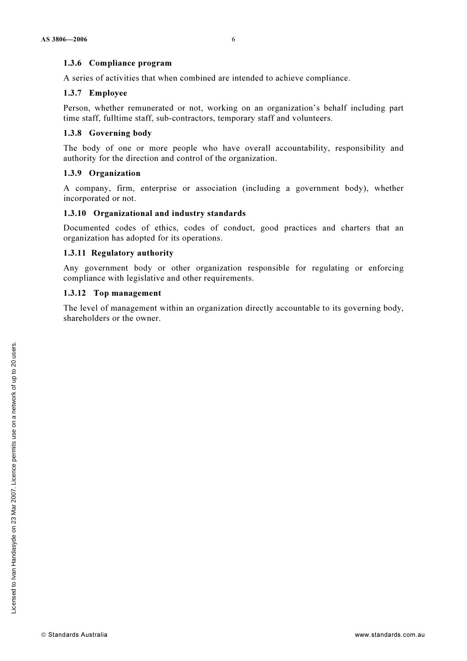#### 1.3.6 Compliance program

A series of activities that when combined are intended to achieve compliance.

#### 1.3.7 Employee

Person, whether remunerated or not, working on an organization's behalf including part time staff, fulltime staff, sub-contractors, temporary staff and volunteers.

#### 1.3.8 Governing body

The body of one or more people who have overall accountability, responsibility and authority for the direction and control of the organization.

#### 1.3.9 Organization

A company, firm, enterprise or association (including a government body), whether incorporated or not.

#### 1.3.10 Organizational and industry standards

Documented codes of ethics, codes of conduct, good practices and charters that an organization has adopted for its operations.

#### 1.3.11 Regulatory authority

Any government body or other organization responsible for regulating or enforcing compliance with legislative and other requirements.

#### 1.3.12 Top management

The level of management within an organization directly accountable to its governing body, shareholders or the owner.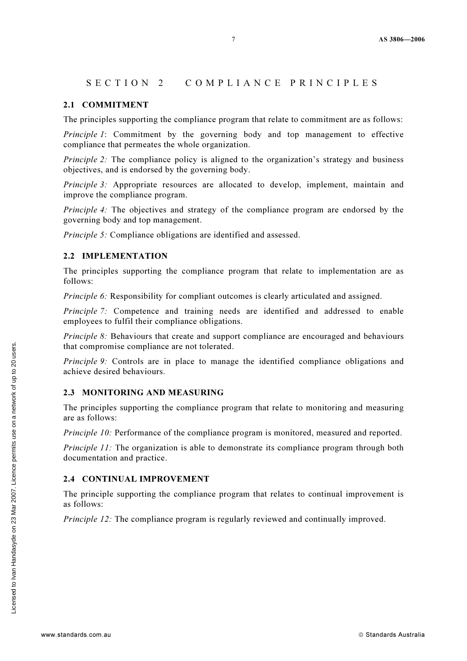## SECTION 2 COMPLIANCE PRINCIPLES

#### 2.1 COMMITMENT

The principles supporting the compliance program that relate to commitment are as follows:

Principle 1: Commitment by the governing body and top management to effective compliance that permeates the whole organization.

Principle 2: The compliance policy is aligned to the organization's strategy and business objectives, and is endorsed by the governing body.

Principle 3: Appropriate resources are allocated to develop, implement, maintain and improve the compliance program.

Principle 4: The objectives and strategy of the compliance program are endorsed by the governing body and top management.

Principle 5: Compliance obligations are identified and assessed.

#### 2.2 IMPLEMENTATION

The principles supporting the compliance program that relate to implementation are as follows:

Principle 6: Responsibility for compliant outcomes is clearly articulated and assigned.

Principle 7: Competence and training needs are identified and addressed to enable employees to fulfil their compliance obligations.

Principle 8: Behaviours that create and support compliance are encouraged and behaviours that compromise compliance are not tolerated.

Principle 9: Controls are in place to manage the identified compliance obligations and achieve desired behaviours.

#### 2.3 MONITORING AND MEASURING

The principles supporting the compliance program that relate to monitoring and measuring are as follows:

Principle 10: Performance of the compliance program is monitored, measured and reported.

Principle 11: The organization is able to demonstrate its compliance program through both documentation and practice.

#### 2.4 CONTINUAL IMPROVEMENT

The principle supporting the compliance program that relates to continual improvement is as follows:

Principle 12: The compliance program is regularly reviewed and continually improved.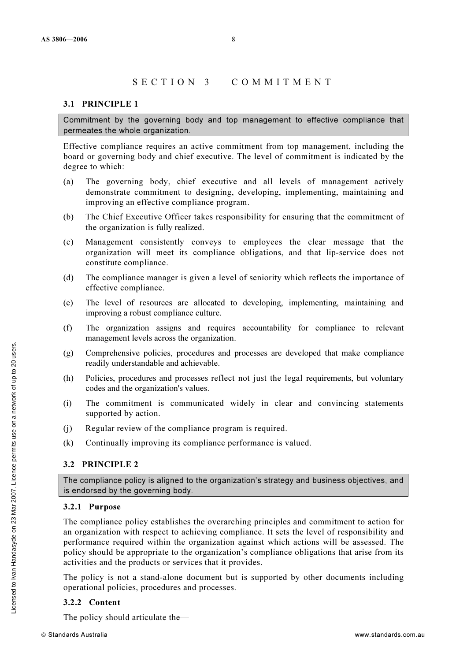## SECTION 3 COMMITMENT

#### 3.1 PRINCIPLE 1

Commitment by the governing body and top management to effective compliance that permeates the whole organization.

Effective compliance requires an active commitment from top management, including the board or governing body and chief executive. The level of commitment is indicated by the degree to which:

- (a) The governing body, chief executive and all levels of management actively demonstrate commitment to designing, developing, implementing, maintaining and improving an effective compliance program.
- (b) The Chief Executive Officer takes responsibility for ensuring that the commitment of the organization is fully realized.
- (c) Management consistently conveys to employees the clear message that the organization will meet its compliance obligations, and that lip-service does not constitute compliance.
- (d) The compliance manager is given a level of seniority which reflects the importance of effective compliance.
- (e) The level of resources are allocated to developing, implementing, maintaining and improving a robust compliance culture.
- (f) The organization assigns and requires accountability for compliance to relevant management levels across the organization.
- (g) Comprehensive policies, procedures and processes are developed that make compliance readily understandable and achievable.
- (h) Policies, procedures and processes reflect not just the legal requirements, but voluntary codes and the organization's values.
- (i) The commitment is communicated widely in clear and convincing statements supported by action.
- (j) Regular review of the compliance program is required.
- (k) Continually improving its compliance performance is valued.

#### 3.2 PRINCIPLE 2

The compliance policy is aligned to the organization's strategy and business objectives, and is endorsed by the governing body.

#### 3.2.1 Purpose

The compliance policy establishes the overarching principles and commitment to action for an organization with respect to achieving compliance. It sets the level of responsibility and performance required within the organization against which actions will be assessed. The policy should be appropriate to the organization's compliance obligations that arise from its activities and the products or services that it provides.

The policy is not a stand-alone document but is supported by other documents including operational policies, procedures and processes.

#### 3.2.2 Content

The policy should articulate the—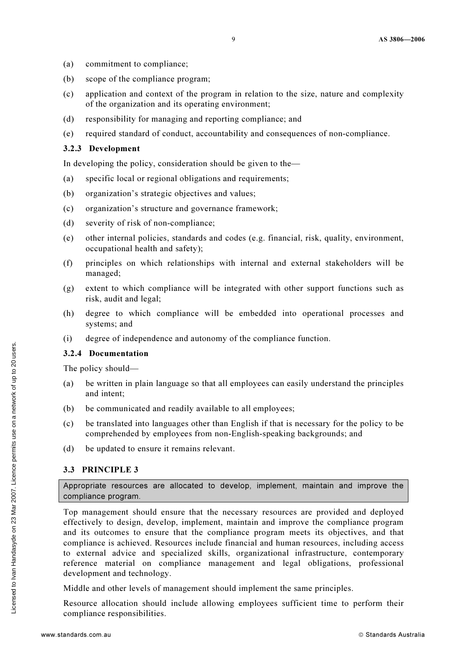- (a) commitment to compliance;
- (b) scope of the compliance program;
- (c) application and context of the program in relation to the size, nature and complexity of the organization and its operating environment;
- (d) responsibility for managing and reporting compliance; and
- (e) required standard of conduct, accountability and consequences of non-compliance.

#### 3.2.3 Development

In developing the policy, consideration should be given to the—

- (a) specific local or regional obligations and requirements;
- (b) organization's strategic objectives and values;
- (c) organization's structure and governance framework;
- (d) severity of risk of non-compliance;
- (e) other internal policies, standards and codes (e.g. financial, risk, quality, environment, occupational health and safety);
- (f) principles on which relationships with internal and external stakeholders will be managed;
- (g) extent to which compliance will be integrated with other support functions such as risk, audit and legal;
- (h) degree to which compliance will be embedded into operational processes and systems; and
- (i) degree of independence and autonomy of the compliance function.

#### 3.2.4 Documentation

The policy should—

- (a) be written in plain language so that all employees can easily understand the principles and intent;
- (b) be communicated and readily available to all employees;
- (c) be translated into languages other than English if that is necessary for the policy to be comprehended by employees from non-English-speaking backgrounds; and
- (d) be updated to ensure it remains relevant.

#### 3.3 PRINCIPLE 3

Appropriate resources are allocated to develop, implement, maintain and improve the compliance program.

Top management should ensure that the necessary resources are provided and deployed effectively to design, develop, implement, maintain and improve the compliance program and its outcomes to ensure that the compliance program meets its objectives, and that compliance is achieved. Resources include financial and human resources, including access to external advice and specialized skills, organizational infrastructure, contemporary reference material on compliance management and legal obligations, professional development and technology.

Middle and other levels of management should implement the same principles.

Resource allocation should include allowing employees sufficient time to perform their compliance responsibilities.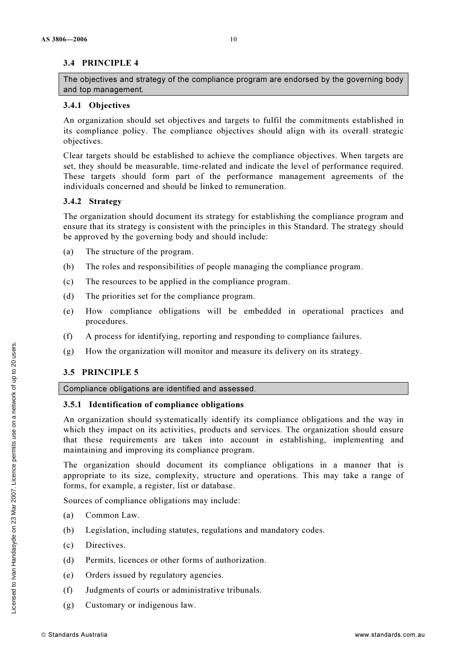The objectives and strategy of the compliance program are endorsed by the governing body and top management.

## 3.4.1 Objectives

An organization should set objectives and targets to fulfil the commitments established in its compliance policy. The compliance objectives should align with its overall strategic objectives.

Clear targets should be established to achieve the compliance objectives. When targets are set, they should be measurable, time-related and indicate the level of performance required. These targets should form part of the performance management agreements of the individuals concerned and should be linked to remuneration.

## 3.4.2 Strategy

The organization should document its strategy for establishing the compliance program and ensure that its strategy is consistent with the principles in this Standard. The strategy should be approved by the governing body and should include:

- (a) The structure of the program.
- (b) The roles and responsibilities of people managing the compliance program.
- (c) The resources to be applied in the compliance program.
- (d) The priorities set for the compliance program.
- (e) How compliance obligations will be embedded in operational practices and procedures.
- (f) A process for identifying, reporting and responding to compliance failures.
- (g) How the organization will monitor and measure its delivery on its strategy.

## 3.5 PRINCIPLE 5

#### Compliance obligations are identified and assessed.

## 3.5.1 Identification of compliance obligations

An organization should systematically identify its compliance obligations and the way in which they impact on its activities, products and services. The organization should ensure that these requirements are taken into account in establishing, implementing and maintaining and improving its compliance program.

The organization should document its compliance obligations in a manner that is appropriate to its size, complexity, structure and operations. This may take a range of forms, for example, a register, list or database.

Sources of compliance obligations may include:

- (a) Common Law.
- (b) Legislation, including statutes, regulations and mandatory codes.
- (c) Directives.
- (d) Permits, licences or other forms of authorization.
- (e) Orders issued by regulatory agencies.
- (f) Judgments of courts or administrative tribunals.
- (g) Customary or indigenous law.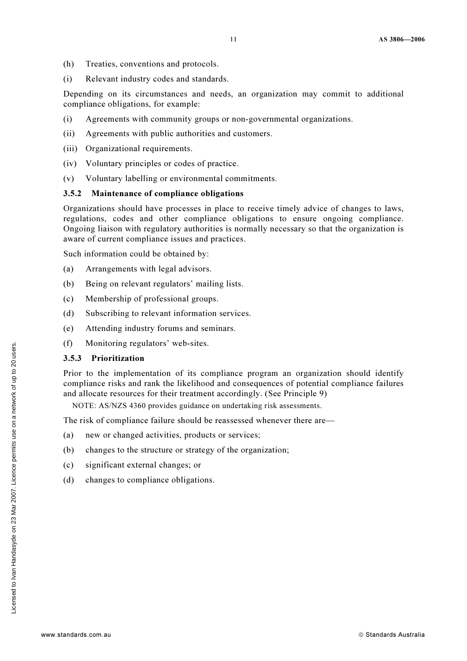- (h) Treaties, conventions and protocols.
- (i) Relevant industry codes and standards.

Depending on its circumstances and needs, an organization may commit to additional compliance obligations, for example:

- (i) Agreements with community groups or non-governmental organizations.
- (ii) Agreements with public authorities and customers.
- (iii) Organizational requirements.
- (iv) Voluntary principles or codes of practice.
- (v) Voluntary labelling or environmental commitments.

#### 3.5.2 Maintenance of compliance obligations

Organizations should have processes in place to receive timely advice of changes to laws, regulations, codes and other compliance obligations to ensure ongoing compliance. Ongoing liaison with regulatory authorities is normally necessary so that the organization is aware of current compliance issues and practices.

Such information could be obtained by:

- (a) Arrangements with legal advisors.
- (b) Being on relevant regulators' mailing lists.
- (c) Membership of professional groups.
- (d) Subscribing to relevant information services.
- (e) Attending industry forums and seminars.
- (f) Monitoring regulators' web-sites.

#### 3.5.3 Prioritization

Prior to the implementation of its compliance program an organization should identify compliance risks and rank the likelihood and consequences of potential compliance failures and allocate resources for their treatment accordingly. (See Principle 9)

NOTE: AS/NZS 4360 provides guidance on undertaking risk assessments.

The risk of compliance failure should be reassessed whenever there are—

- (a) new or changed activities, products or services;
- (b) changes to the structure or strategy of the organization;
- (c) significant external changes; or
- (d) changes to compliance obligations.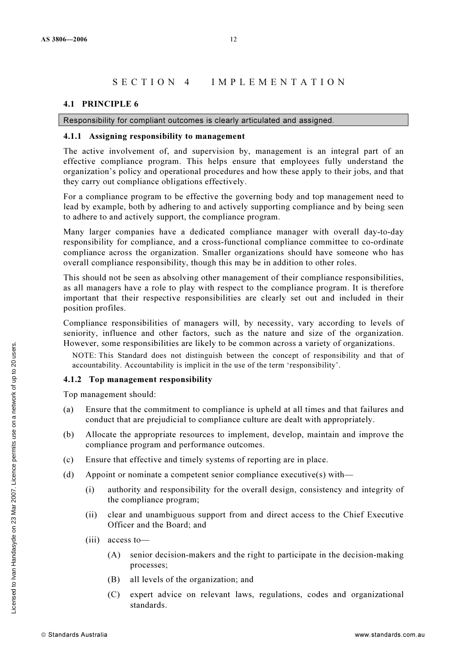#### SECTION 4 IMPLEMENTATION

#### 4.1 PRINCIPLE 6

#### Responsibility for compliant outcomes is clearly articulated and assigned.

#### 4.1.1 Assigning responsibility to management

The active involvement of, and supervision by, management is an integral part of an effective compliance program. This helps ensure that employees fully understand the organization's policy and operational procedures and how these apply to their jobs, and that they carry out compliance obligations effectively.

For a compliance program to be effective the governing body and top management need to lead by example, both by adhering to and actively supporting compliance and by being seen to adhere to and actively support, the compliance program.

Many larger companies have a dedicated compliance manager with overall day-to-day responsibility for compliance, and a cross-functional compliance committee to co-ordinate compliance across the organization. Smaller organizations should have someone who has overall compliance responsibility, though this may be in addition to other roles.

This should not be seen as absolving other management of their compliance responsibilities, as all managers have a role to play with respect to the compliance program. It is therefore important that their respective responsibilities are clearly set out and included in their position profiles.

Compliance responsibilities of managers will, by necessity, vary according to levels of seniority, influence and other factors, such as the nature and size of the organization. However, some responsibilities are likely to be common across a variety of organizations.

NOTE: This Standard does not distinguish between the concept of responsibility and that of accountability. Accountability is implicit in the use of the term 'responsibility'.

#### 4.1.2 Top management responsibility

Top management should:

- (a) Ensure that the commitment to compliance is upheld at all times and that failures and conduct that are prejudicial to compliance culture are dealt with appropriately.
- (b) Allocate the appropriate resources to implement, develop, maintain and improve the compliance program and performance outcomes.
- (c) Ensure that effective and timely systems of reporting are in place.
- (d) Appoint or nominate a competent senior compliance executive(s) with—
	- (i) authority and responsibility for the overall design, consistency and integrity of the compliance program;
	- (ii) clear and unambiguous support from and direct access to the Chief Executive Officer and the Board; and
	- (iii) access to—
		- (A) senior decision-makers and the right to participate in the decision-making processes;
		- (B) all levels of the organization; and
		- (C) expert advice on relevant laws, regulations, codes and organizational standards.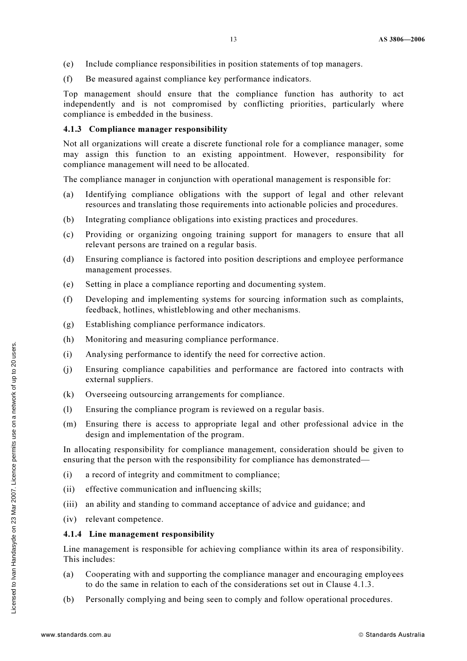- (e) Include compliance responsibilities in position statements of top managers.
- (f) Be measured against compliance key performance indicators.

Top management should ensure that the compliance function has authority to act independently and is not compromised by conflicting priorities, particularly where compliance is embedded in the business.

#### 4.1.3 Compliance manager responsibility

Not all organizations will create a discrete functional role for a compliance manager, some may assign this function to an existing appointment. However, responsibility for compliance management will need to be allocated.

The compliance manager in conjunction with operational management is responsible for:

- (a) Identifying compliance obligations with the support of legal and other relevant resources and translating those requirements into actionable policies and procedures.
- (b) Integrating compliance obligations into existing practices and procedures.
- (c) Providing or organizing ongoing training support for managers to ensure that all relevant persons are trained on a regular basis.
- (d) Ensuring compliance is factored into position descriptions and employee performance management processes.
- (e) Setting in place a compliance reporting and documenting system.
- (f) Developing and implementing systems for sourcing information such as complaints, feedback, hotlines, whistleblowing and other mechanisms.
- (g) Establishing compliance performance indicators.
- (h) Monitoring and measuring compliance performance.
- (i) Analysing performance to identify the need for corrective action.
- (j) Ensuring compliance capabilities and performance are factored into contracts with external suppliers.
- (k) Overseeing outsourcing arrangements for compliance.
- (l) Ensuring the compliance program is reviewed on a regular basis.
- (m) Ensuring there is access to appropriate legal and other professional advice in the design and implementation of the program.

In allocating responsibility for compliance management, consideration should be given to ensuring that the person with the responsibility for compliance has demonstrated—

- (i) a record of integrity and commitment to compliance;
- (ii) effective communication and influencing skills;
- (iii) an ability and standing to command acceptance of advice and guidance; and
- (iv) relevant competence.

#### 4.1.4 Line management responsibility

Line management is responsible for achieving compliance within its area of responsibility. This includes:

- (a) Cooperating with and supporting the compliance manager and encouraging employees to do the same in relation to each of the considerations set out in Clause 4.1.3.
- (b) Personally complying and being seen to comply and follow operational procedures.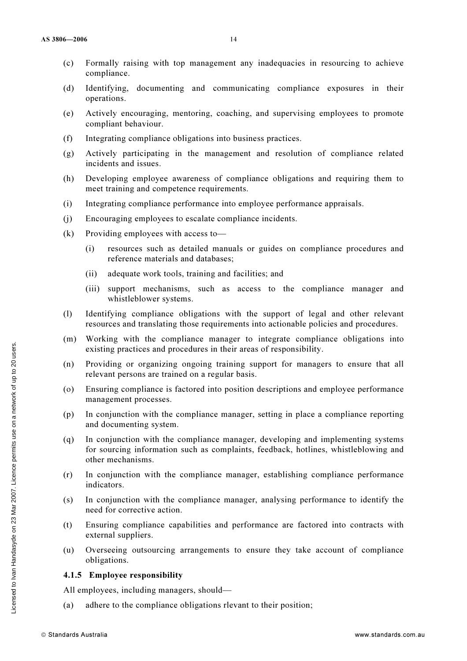- (c) Formally raising with top management any inadequacies in resourcing to achieve compliance.
- (d) Identifying, documenting and communicating compliance exposures in their operations.
- (e) Actively encouraging, mentoring, coaching, and supervising employees to promote compliant behaviour.
- (f) Integrating compliance obligations into business practices.
- (g) Actively participating in the management and resolution of compliance related incidents and issues.
- (h) Developing employee awareness of compliance obligations and requiring them to meet training and competence requirements.
- (i) Integrating compliance performance into employee performance appraisals.
- (j) Encouraging employees to escalate compliance incidents.
- (k) Providing employees with access to—
	- (i) resources such as detailed manuals or guides on compliance procedures and reference materials and databases;
	- (ii) adequate work tools, training and facilities; and
	- (iii) support mechanisms, such as access to the compliance manager and whistleblower systems.
- (l) Identifying compliance obligations with the support of legal and other relevant resources and translating those requirements into actionable policies and procedures.
- (m) Working with the compliance manager to integrate compliance obligations into existing practices and procedures in their areas of responsibility.
- (n) Providing or organizing ongoing training support for managers to ensure that all relevant persons are trained on a regular basis.
- (o) Ensuring compliance is factored into position descriptions and employee performance management processes.
- (p) In conjunction with the compliance manager, setting in place a compliance reporting and documenting system.
- (q) In conjunction with the compliance manager, developing and implementing systems for sourcing information such as complaints, feedback, hotlines, whistleblowing and other mechanisms.
- (r) In conjunction with the compliance manager, establishing compliance performance indicators.
- (s) In conjunction with the compliance manager, analysing performance to identify the need for corrective action.
- (t) Ensuring compliance capabilities and performance are factored into contracts with external suppliers.
- (u) Overseeing outsourcing arrangements to ensure they take account of compliance obligations.

#### 4.1.5 Employee responsibility

All employees, including managers, should—

(a) adhere to the compliance obligations rlevant to their position;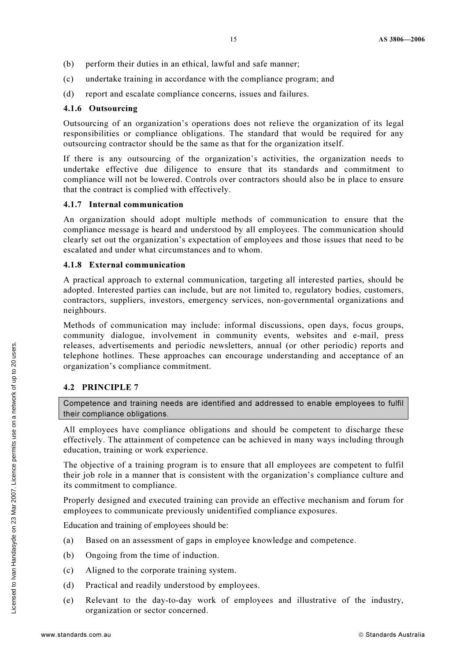- (b) perform their duties in an ethical, lawful and safe manner;
- (c) undertake training in accordance with the compliance program; and
- (d) report and escalate compliance concerns, issues and failures.

#### 4.1.6 Outsourcing

Outsourcing of an organization's operations does not relieve the organization of its legal responsibilities or compliance obligations. The standard that would be required for any outsourcing contractor should be the same as that for the organization itself.

If there is any outsourcing of the organization's activities, the organization needs to undertake effective due diligence to ensure that its standards and commitment to compliance will not be lowered. Controls over contractors should also be in place to ensure that the contract is complied with effectively.

#### 4.1.7 Internal communication

An organization should adopt multiple methods of communication to ensure that the compliance message is heard and understood by all employees. The communication should clearly set out the organization's expectation of employees and those issues that need to be escalated and under what circumstances and to whom.

#### 4.1.8 External communication

A practical approach to external communication, targeting all interested parties, should be adopted. Interested parties can include, but are not limited to, regulatory bodies, customers, contractors, suppliers, investors, emergency services, non-governmental organizations and neighbours.

Methods of communication may include: informal discussions, open days, focus groups, community dialogue, involvement in community events, websites and e-mail, press releases, advertisements and periodic newsletters, annual (or other periodic) reports and telephone hotlines. These approaches can encourage understanding and acceptance of an organization's compliance commitment.

## 4.2 PRINCIPLE 7

Competence and training needs are identified and addressed to enable employees to fulfil their compliance obligations.

All employees have compliance obligations and should be competent to discharge these effectively. The attainment of competence can be achieved in many ways including through education, training or work experience.

The objective of a training program is to ensure that all employees are competent to fulfil their job role in a manner that is consistent with the organization's compliance culture and its commitment to compliance.

Properly designed and executed training can provide an effective mechanism and forum for employees to communicate previously unidentified compliance exposures.

Education and training of employees should be:

- (a) Based on an assessment of gaps in employee knowledge and competence.
- (b) Ongoing from the time of induction.
- (c) Aligned to the corporate training system.
- (d) Practical and readily understood by employees.
- (e) Relevant to the day-to-day work of employees and illustrative of the industry, organization or sector concerned.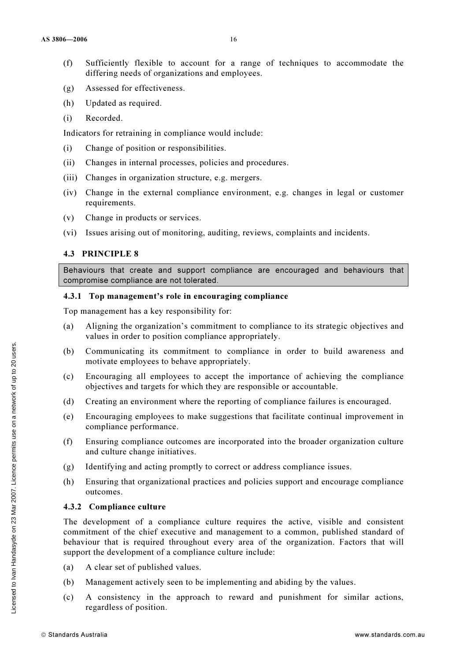- (f) Sufficiently flexible to account for a range of techniques to accommodate the differing needs of organizations and employees.
- (g) Assessed for effectiveness.
- (h) Updated as required.
- (i) Recorded.

Indicators for retraining in compliance would include:

- (i) Change of position or responsibilities.
- (ii) Changes in internal processes, policies and procedures.
- (iii) Changes in organization structure, e.g. mergers.
- (iv) Change in the external compliance environment, e.g. changes in legal or customer requirements.
- (v) Change in products or services.
- (vi) Issues arising out of monitoring, auditing, reviews, complaints and incidents.

## 4.3 PRINCIPLE 8

Behaviours that create and support compliance are encouraged and behaviours that compromise compliance are not tolerated.

## 4.3.1 Top management's role in encouraging compliance

Top management has a key responsibility for:

- (a) Aligning the organization's commitment to compliance to its strategic objectives and values in order to position compliance appropriately.
- (b) Communicating its commitment to compliance in order to build awareness and motivate employees to behave appropriately.
- (c) Encouraging all employees to accept the importance of achieving the compliance objectives and targets for which they are responsible or accountable.
- (d) Creating an environment where the reporting of compliance failures is encouraged.
- (e) Encouraging employees to make suggestions that facilitate continual improvement in compliance performance.
- (f) Ensuring compliance outcomes are incorporated into the broader organization culture and culture change initiatives.
- (g) Identifying and acting promptly to correct or address compliance issues.
- (h) Ensuring that organizational practices and policies support and encourage compliance outcomes.

## 4.3.2 Compliance culture

The development of a compliance culture requires the active, visible and consistent commitment of the chief executive and management to a common, published standard of behaviour that is required throughout every area of the organization. Factors that will support the development of a compliance culture include:

- (a) A clear set of published values.
- (b) Management actively seen to be implementing and abiding by the values.
- (c) A consistency in the approach to reward and punishment for similar actions, regardless of position.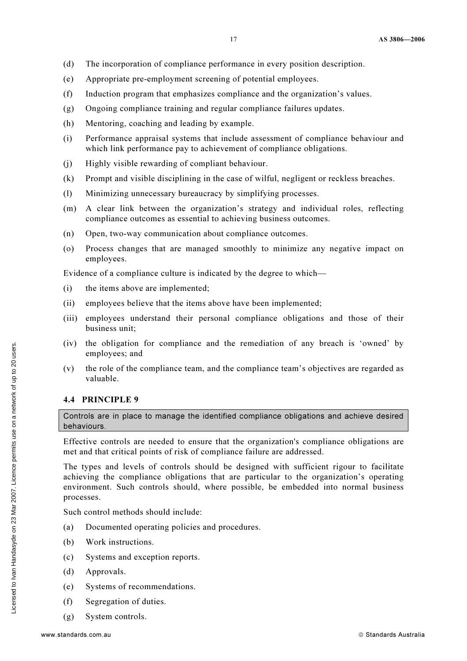- (d) The incorporation of compliance performance in every position description.
- (e) Appropriate pre-employment screening of potential employees.
- (f) Induction program that emphasizes compliance and the organization's values.
- (g) Ongoing compliance training and regular compliance failures updates.
- (h) Mentoring, coaching and leading by example.
- (i) Performance appraisal systems that include assessment of compliance behaviour and which link performance pay to achievement of compliance obligations.
- (j) Highly visible rewarding of compliant behaviour.
- (k) Prompt and visible disciplining in the case of wilful, negligent or reckless breaches.
- (l) Minimizing unnecessary bureaucracy by simplifying processes.
- (m) A clear link between the organization's strategy and individual roles, reflecting compliance outcomes as essential to achieving business outcomes.
- (n) Open, two-way communication about compliance outcomes.
- (o) Process changes that are managed smoothly to minimize any negative impact on employees.

Evidence of a compliance culture is indicated by the degree to which—

- (i) the items above are implemented;
- (ii) employees believe that the items above have been implemented;
- (iii) employees understand their personal compliance obligations and those of their business unit;
- (iv) the obligation for compliance and the remediation of any breach is 'owned' by employees; and
- (v) the role of the compliance team, and the compliance team's objectives are regarded as valuable.

## 4.4 PRINCIPLE 9

Controls are in place to manage the identified compliance obligations and achieve desired behaviours.

Effective controls are needed to ensure that the organization's compliance obligations are met and that critical points of risk of compliance failure are addressed.

The types and levels of controls should be designed with sufficient rigour to facilitate achieving the compliance obligations that are particular to the organization's operating environment. Such controls should, where possible, be embedded into normal business processes.

Such control methods should include:

- (a) Documented operating policies and procedures.
- (b) Work instructions.
- (c) Systems and exception reports.
- (d) Approvals.
- (e) Systems of recommendations.
- (f) Segregation of duties.
- (g) System controls.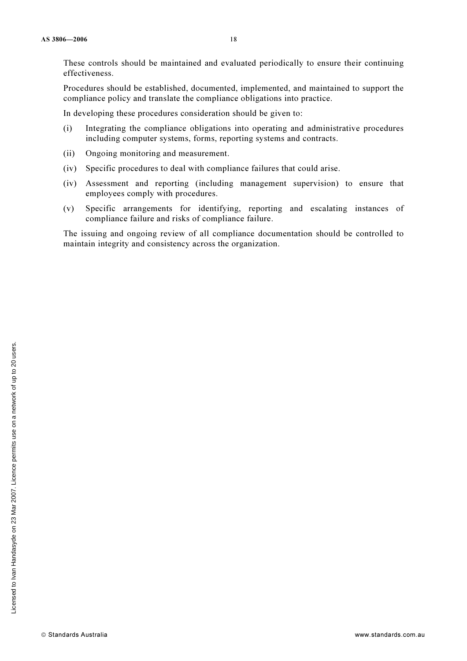These controls should be maintained and evaluated periodically to ensure their continuing effectiveness.

Procedures should be established, documented, implemented, and maintained to support the compliance policy and translate the compliance obligations into practice.

In developing these procedures consideration should be given to:

- (i) Integrating the compliance obligations into operating and administrative procedures including computer systems, forms, reporting systems and contracts.
- (ii) Ongoing monitoring and measurement.
- (iv) Specific procedures to deal with compliance failures that could arise.
- (iv) Assessment and reporting (including management supervision) to ensure that employees comply with procedures.
- (v) Specific arrangements for identifying, reporting and escalating instances of compliance failure and risks of compliance failure.

The issuing and ongoing review of all compliance documentation should be controlled to maintain integrity and consistency across the organization.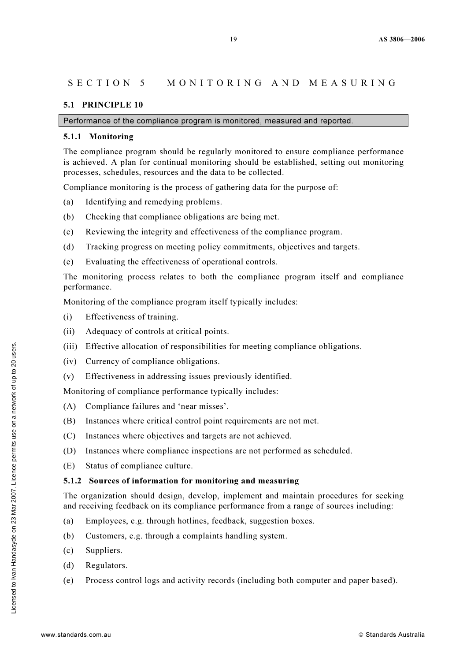## SECTION 5 MONITORING AND MEASURING

#### 5.1 PRINCIPLE 10

Performance of the compliance program is monitored, measured and reported.

#### 5.1.1 Monitoring

The compliance program should be regularly monitored to ensure compliance performance is achieved. A plan for continual monitoring should be established, setting out monitoring processes, schedules, resources and the data to be collected.

Compliance monitoring is the process of gathering data for the purpose of:

- (a) Identifying and remedying problems.
- (b) Checking that compliance obligations are being met.
- (c) Reviewing the integrity and effectiveness of the compliance program.
- (d) Tracking progress on meeting policy commitments, objectives and targets.
- (e) Evaluating the effectiveness of operational controls.

The monitoring process relates to both the compliance program itself and compliance performance.

Monitoring of the compliance program itself typically includes:

- (i) Effectiveness of training.
- (ii) Adequacy of controls at critical points.
- (iii) Effective allocation of responsibilities for meeting compliance obligations.
- (iv) Currency of compliance obligations.
- (v) Effectiveness in addressing issues previously identified.

Monitoring of compliance performance typically includes:

- (A) Compliance failures and 'near misses'.
- (B) Instances where critical control point requirements are not met.
- (C) Instances where objectives and targets are not achieved.
- (D) Instances where compliance inspections are not performed as scheduled.
- (E) Status of compliance culture.

#### 5.1.2 Sources of information for monitoring and measuring

The organization should design, develop, implement and maintain procedures for seeking and receiving feedback on its compliance performance from a range of sources including:

- (a) Employees, e.g. through hotlines, feedback, suggestion boxes.
- (b) Customers, e.g. through a complaints handling system.
- (c) Suppliers.
- (d) Regulators.
- (e) Process control logs and activity records (including both computer and paper based).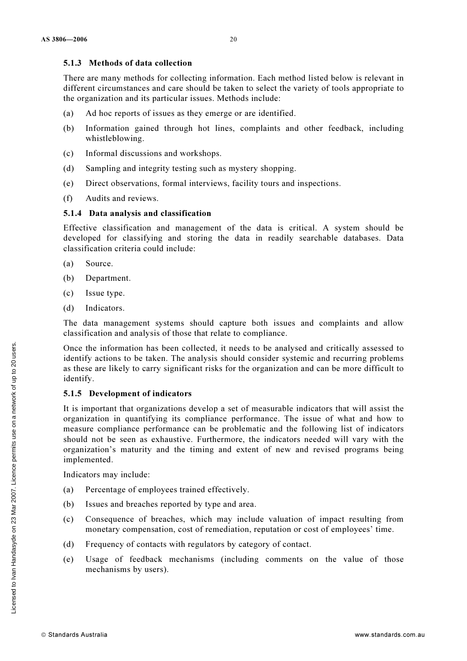#### 5.1.3 Methods of data collection

There are many methods for collecting information. Each method listed below is relevant in different circumstances and care should be taken to select the variety of tools appropriate to the organization and its particular issues. Methods include:

- (a) Ad hoc reports of issues as they emerge or are identified.
- (b) Information gained through hot lines, complaints and other feedback, including whistleblowing.
- (c) Informal discussions and workshops.
- (d) Sampling and integrity testing such as mystery shopping.
- (e) Direct observations, formal interviews, facility tours and inspections.
- (f) Audits and reviews.

### 5.1.4 Data analysis and classification

Effective classification and management of the data is critical. A system should be developed for classifying and storing the data in readily searchable databases. Data classification criteria could include:

- (a) Source.
- (b) Department.
- (c) Issue type.
- (d) Indicators.

The data management systems should capture both issues and complaints and allow classification and analysis of those that relate to compliance.

Once the information has been collected, it needs to be analysed and critically assessed to identify actions to be taken. The analysis should consider systemic and recurring problems as these are likely to carry significant risks for the organization and can be more difficult to identify.

## 5.1.5 Development of indicators

It is important that organizations develop a set of measurable indicators that will assist the organization in quantifying its compliance performance. The issue of what and how to measure compliance performance can be problematic and the following list of indicators should not be seen as exhaustive. Furthermore, the indicators needed will vary with the organization's maturity and the timing and extent of new and revised programs being implemented.

Indicators may include:

- (a) Percentage of employees trained effectively.
- (b) Issues and breaches reported by type and area.
- (c) Consequence of breaches, which may include valuation of impact resulting from monetary compensation, cost of remediation, reputation or cost of employees' time.
- (d) Frequency of contacts with regulators by category of contact.
- (e) Usage of feedback mechanisms (including comments on the value of those mechanisms by users).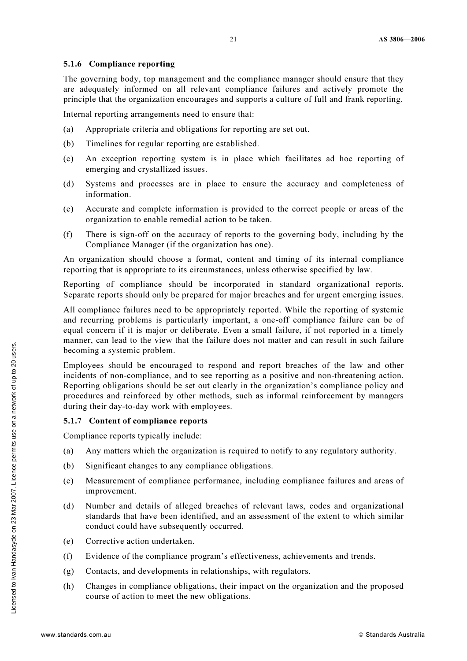#### 5.1.6 Compliance reporting

The governing body, top management and the compliance manager should ensure that they are adequately informed on all relevant compliance failures and actively promote the principle that the organization encourages and supports a culture of full and frank reporting.

Internal reporting arrangements need to ensure that:

- (a) Appropriate criteria and obligations for reporting are set out.
- (b) Timelines for regular reporting are established.
- (c) An exception reporting system is in place which facilitates ad hoc reporting of emerging and crystallized issues.
- (d) Systems and processes are in place to ensure the accuracy and completeness of information.
- (e) Accurate and complete information is provided to the correct people or areas of the organization to enable remedial action to be taken.
- (f) There is sign-off on the accuracy of reports to the governing body, including by the Compliance Manager (if the organization has one).

An organization should choose a format, content and timing of its internal compliance reporting that is appropriate to its circumstances, unless otherwise specified by law.

Reporting of compliance should be incorporated in standard organizational reports. Separate reports should only be prepared for major breaches and for urgent emerging issues.

All compliance failures need to be appropriately reported. While the reporting of systemic and recurring problems is particularly important, a one-off compliance failure can be of equal concern if it is major or deliberate. Even a small failure, if not reported in a timely manner, can lead to the view that the failure does not matter and can result in such failure becoming a systemic problem.

Employees should be encouraged to respond and report breaches of the law and other incidents of non-compliance, and to see reporting as a positive and non-threatening action. Reporting obligations should be set out clearly in the organization's compliance policy and procedures and reinforced by other methods, such as informal reinforcement by managers during their day-to-day work with employees.

## 5.1.7 Content of compliance reports

Compliance reports typically include:

- (a) Any matters which the organization is required to notify to any regulatory authority.
- (b) Significant changes to any compliance obligations.
- (c) Measurement of compliance performance, including compliance failures and areas of improvement.
- (d) Number and details of alleged breaches of relevant laws, codes and organizational standards that have been identified, and an assessment of the extent to which similar conduct could have subsequently occurred.
- (e) Corrective action undertaken.
- (f) Evidence of the compliance program's effectiveness, achievements and trends.
- (g) Contacts, and developments in relationships, with regulators.
- (h) Changes in compliance obligations, their impact on the organization and the proposed course of action to meet the new obligations.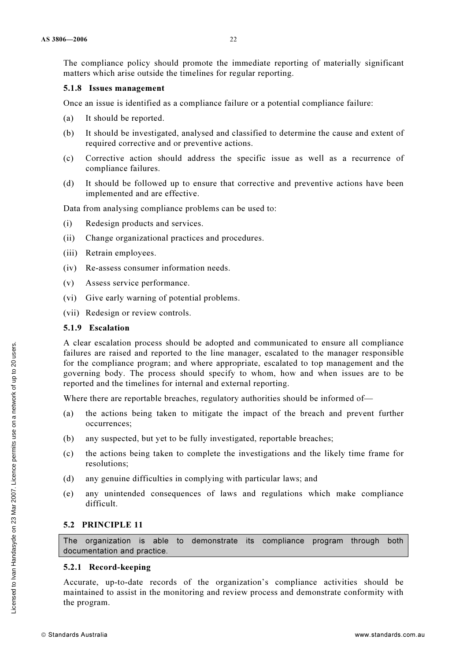The compliance policy should promote the immediate reporting of materially significant matters which arise outside the timelines for regular reporting.

#### 5.1.8 Issues management

Once an issue is identified as a compliance failure or a potential compliance failure:

- (a) It should be reported.
- (b) It should be investigated, analysed and classified to determine the cause and extent of required corrective and or preventive actions.
- (c) Corrective action should address the specific issue as well as a recurrence of compliance failures.
- (d) It should be followed up to ensure that corrective and preventive actions have been implemented and are effective.

Data from analysing compliance problems can be used to:

- (i) Redesign products and services.
- (ii) Change organizational practices and procedures.
- (iii) Retrain employees.
- (iv) Re-assess consumer information needs.
- (v) Assess service performance.
- (vi) Give early warning of potential problems.
- (vii) Redesign or review controls.

#### 5.1.9 Escalation

A clear escalation process should be adopted and communicated to ensure all compliance failures are raised and reported to the line manager, escalated to the manager responsible for the compliance program; and where appropriate, escalated to top management and the governing body. The process should specify to whom, how and when issues are to be reported and the timelines for internal and external reporting.

Where there are reportable breaches, regulatory authorities should be informed of—

- (a) the actions being taken to mitigate the impact of the breach and prevent further occurrences;
- (b) any suspected, but yet to be fully investigated, reportable breaches;
- (c) the actions being taken to complete the investigations and the likely time frame for resolutions;
- (d) any genuine difficulties in complying with particular laws; and
- (e) any unintended consequences of laws and regulations which make compliance difficult.

## 5.2 PRINCIPLE 11

The organization is able to demonstrate its compliance program through both documentation and practice.

#### 5.2.1 Record-keeping

Accurate, up-to-date records of the organization's compliance activities should be maintained to assist in the monitoring and review process and demonstrate conformity with the program.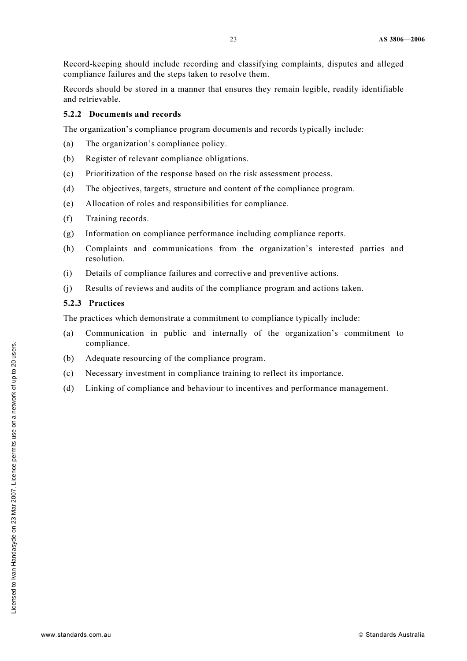Record-keeping should include recording and classifying complaints, disputes and alleged compliance failures and the steps taken to resolve them.

Records should be stored in a manner that ensures they remain legible, readily identifiable and retrievable.

#### 5.2.2 Documents and records

The organization's compliance program documents and records typically include:

- (a) The organization's compliance policy.
- (b) Register of relevant compliance obligations.
- (c) Prioritization of the response based on the risk assessment process.
- (d) The objectives, targets, structure and content of the compliance program.
- (e) Allocation of roles and responsibilities for compliance.
- (f) Training records.
- (g) Information on compliance performance including compliance reports.
- (h) Complaints and communications from the organization's interested parties and resolution.
- (i) Details of compliance failures and corrective and preventive actions.
- (j) Results of reviews and audits of the compliance program and actions taken.

#### 5.2.3 Practices

The practices which demonstrate a commitment to compliance typically include:

- (a) Communication in public and internally of the organization's commitment to compliance.
- (b) Adequate resourcing of the compliance program.
- (c) Necessary investment in compliance training to reflect its importance.
- (d) Linking of compliance and behaviour to incentives and performance management.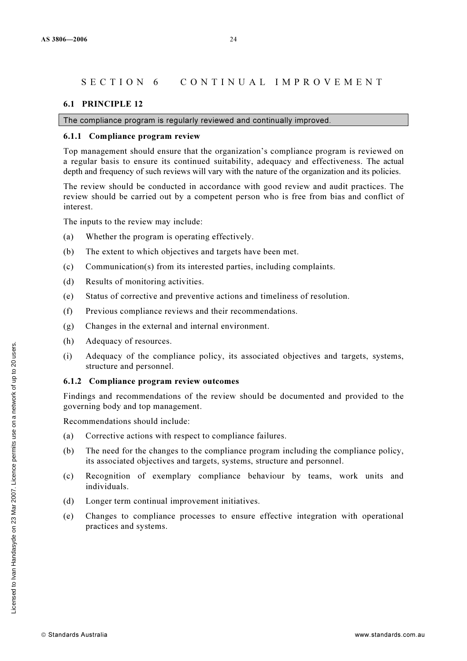## SECTION 6 CONTINUAL IMPROVEMENT

#### 6.1 PRINCIPLE 12

The compliance program is regularly reviewed and continually improved.

#### 6.1.1 Compliance program review

Top management should ensure that the organization's compliance program is reviewed on a regular basis to ensure its continued suitability, adequacy and effectiveness. The actual depth and frequency of such reviews will vary with the nature of the organization and its policies.

The review should be conducted in accordance with good review and audit practices. The review should be carried out by a competent person who is free from bias and conflict of interest.

The inputs to the review may include:

- (a) Whether the program is operating effectively.
- (b) The extent to which objectives and targets have been met.
- (c) Communication(s) from its interested parties, including complaints.
- (d) Results of monitoring activities.
- (e) Status of corrective and preventive actions and timeliness of resolution.
- (f) Previous compliance reviews and their recommendations.
- (g) Changes in the external and internal environment.
- (h) Adequacy of resources.
- (i) Adequacy of the compliance policy, its associated objectives and targets, systems, structure and personnel.

#### 6.1.2 Compliance program review outcomes

Findings and recommendations of the review should be documented and provided to the governing body and top management.

Recommendations should include:

- (a) Corrective actions with respect to compliance failures.
- (b) The need for the changes to the compliance program including the compliance policy, its associated objectives and targets, systems, structure and personnel.
- (c) Recognition of exemplary compliance behaviour by teams, work units and individuals.
- (d) Longer term continual improvement initiatives.
- (e) Changes to compliance processes to ensure effective integration with operational practices and systems.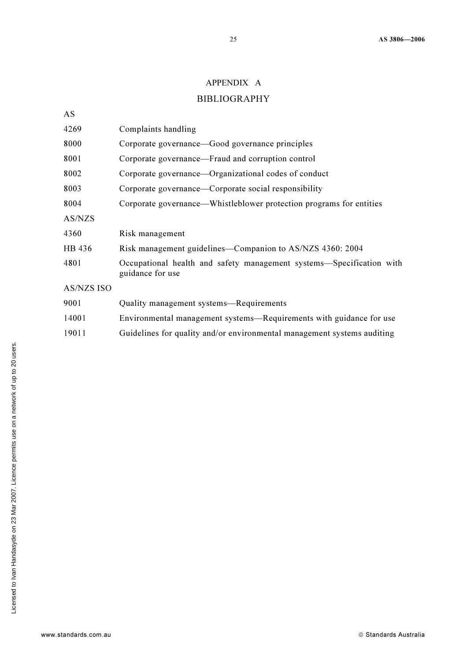## APPENDIX A

## BIBLIOGRAPHY

| Complaints handling                                                                      |
|------------------------------------------------------------------------------------------|
| Corporate governance—Good governance principles                                          |
| Corporate governance—Fraud and corruption control                                        |
| Corporate governance—Organizational codes of conduct                                     |
| Corporate governance—Corporate social responsibility                                     |
| Corporate governance—Whistleblower protection programs for entities                      |
|                                                                                          |
| Risk management                                                                          |
| Risk management guidelines—Companion to AS/NZS 4360: 2004                                |
| Occupational health and safety management systems—Specification with<br>guidance for use |
|                                                                                          |
| Quality management systems—Requirements                                                  |
| Environmental management systems—Requirements with guidance for use                      |
| Guidelines for quality and/or environmental management systems auditing                  |
|                                                                                          |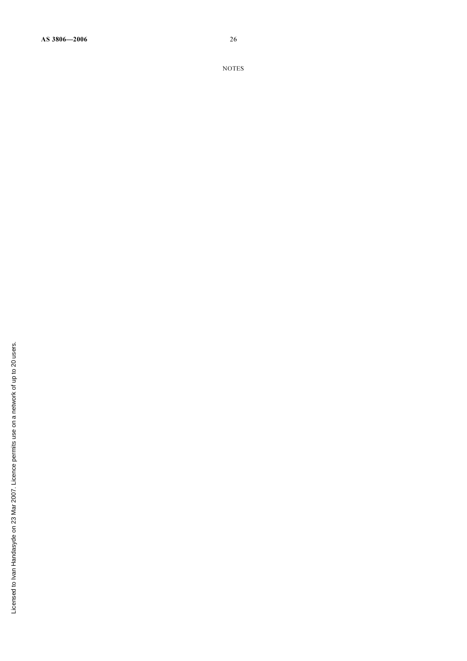AS 3806—2006 26

NOTES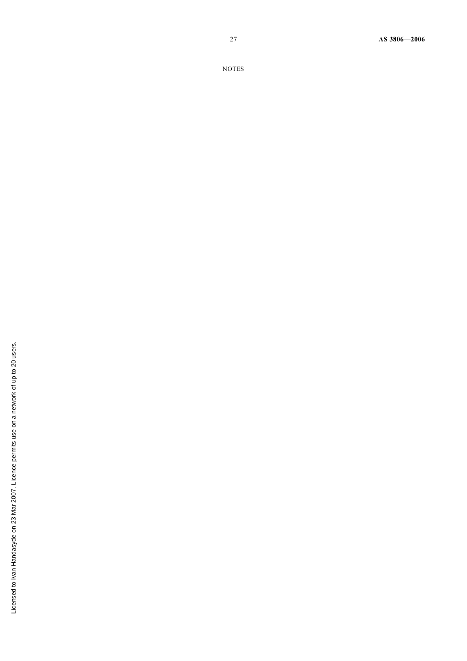27 AS 3806—2006

NOTES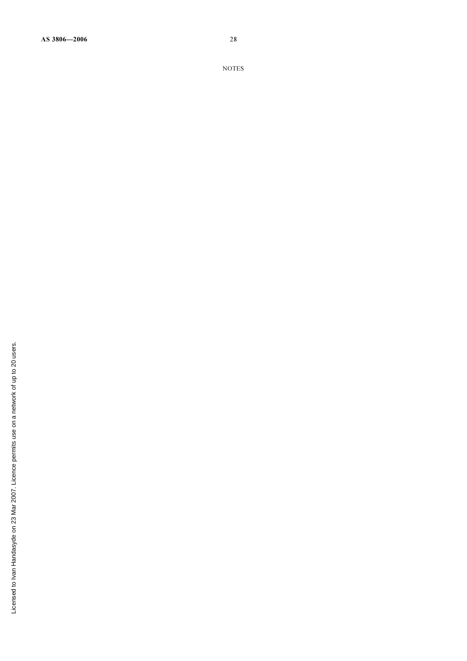AS 3806—2006 28

NOTES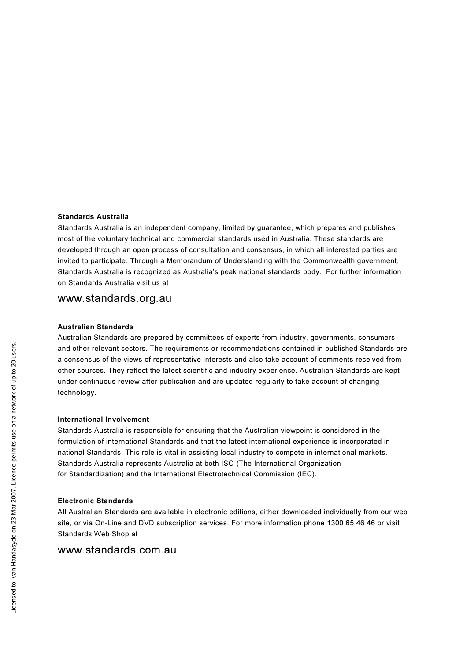#### Standards Australia

Standards Australia is an independent company, limited by guarantee, which prepares and publishes most of the voluntary technical and commercial standards used in Australia. These standards are developed through an open process of consultation and consensus, in which all interested parties are invited to participate. Through a Memorandum of Understanding with the Commonwealth government, Standards Australia is recognized as Australia's peak national standards body. For further information on Standards Australia visit us at

## www.standards.org.au

#### Australian Standards

Australian Standards are prepared by committees of experts from industry, governments, consumers and other relevant sectors. The requirements or recommendations contained in published Standards are a consensus of the views of representative interests and also take account of comments received from other sources. They reflect the latest scientific and industry experience. Australian Standards are kept under continuous review after publication and are updated regularly to take account of changing technology.

#### International Involvement

Standards Australia is responsible for ensuring that the Australian viewpoint is considered in the formulation of international Standards and that the latest international experience is incorporated in national Standards. This role is vital in assisting local industry to compete in international markets. Standards Australia represents Australia at both ISO (The International Organization for Standardization) and the International Electrotechnical Commission (IEC).

#### Electronic Standards

All Australian Standards are available in electronic editions, either downloaded individually from our web site, or via On-Line and DVD subscription services. For more information phone 1300 65 46 46 or visit Standards Web Shop at

## www.standards.com.au